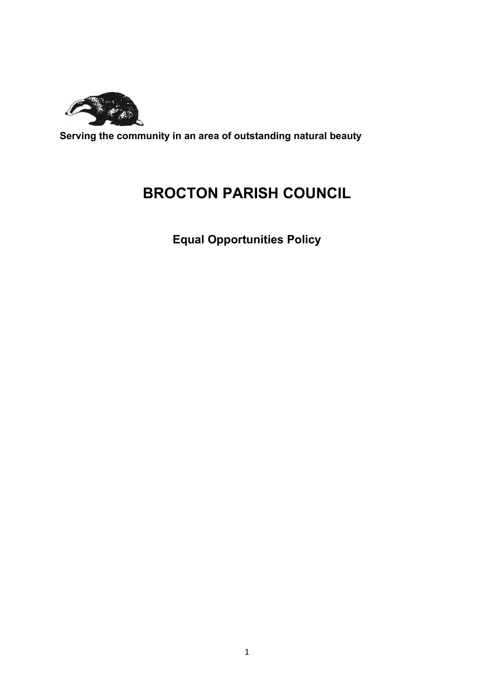

Serving the community in an area of outstanding natural beauty

# BROCTON PARISH COUNCIL

Equal Opportunities Policy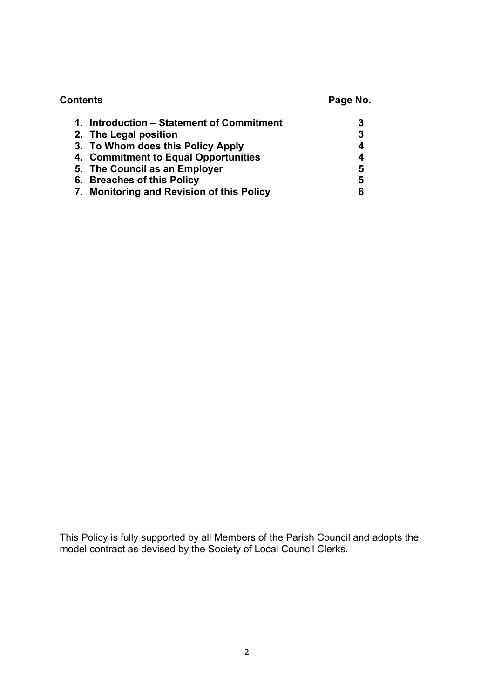| <b>Contents</b>                           | Page No. |
|-------------------------------------------|----------|
| 1. Introduction – Statement of Commitment | 3        |
| 2. The Legal position                     | 3        |
| 3. To Whom does this Policy Apply         | 4        |
| 4. Commitment to Equal Opportunities      | 4        |
| 5. The Council as an Employer             | 5        |
| 6. Breaches of this Policy                | 5        |
| 7. Monitoring and Revision of this Policy | 6        |

This Policy is fully supported by all Members of the Parish Council and adopts the model contract as devised by the Society of Local Council Clerks.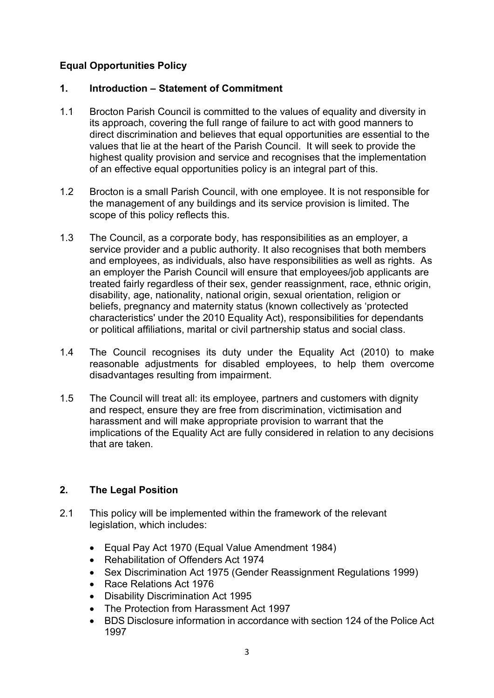# Equal Opportunities Policy

#### 1. Introduction – Statement of Commitment

- 1.1 Brocton Parish Council is committed to the values of equality and diversity in its approach, covering the full range of failure to act with good manners to direct discrimination and believes that equal opportunities are essential to the values that lie at the heart of the Parish Council. It will seek to provide the highest quality provision and service and recognises that the implementation of an effective equal opportunities policy is an integral part of this.
- 1.2 Brocton is a small Parish Council, with one employee. It is not responsible for the management of any buildings and its service provision is limited. The scope of this policy reflects this.
- 1.3 The Council, as a corporate body, has responsibilities as an employer, a service provider and a public authority. It also recognises that both members and employees, as individuals, also have responsibilities as well as rights. As an employer the Parish Council will ensure that employees/job applicants are treated fairly regardless of their sex, gender reassignment, race, ethnic origin, disability, age, nationality, national origin, sexual orientation, religion or beliefs, pregnancy and maternity status (known collectively as 'protected characteristics' under the 2010 Equality Act), responsibilities for dependants or political affiliations, marital or civil partnership status and social class.
- 1.4 The Council recognises its duty under the Equality Act (2010) to make reasonable adjustments for disabled employees, to help them overcome disadvantages resulting from impairment.
- 1.5 The Council will treat all: its employee, partners and customers with dignity and respect, ensure they are free from discrimination, victimisation and harassment and will make appropriate provision to warrant that the implications of the Equality Act are fully considered in relation to any decisions that are taken.

## 2. The Legal Position

- 2.1 This policy will be implemented within the framework of the relevant legislation, which includes:
	- Equal Pay Act 1970 (Equal Value Amendment 1984)
	- Rehabilitation of Offenders Act 1974
	- Sex Discrimination Act 1975 (Gender Reassignment Regulations 1999)
	- Race Relations Act 1976
	- Disability Discrimination Act 1995
	- The Protection from Harassment Act 1997
	- BDS Disclosure information in accordance with section 124 of the Police Act 1997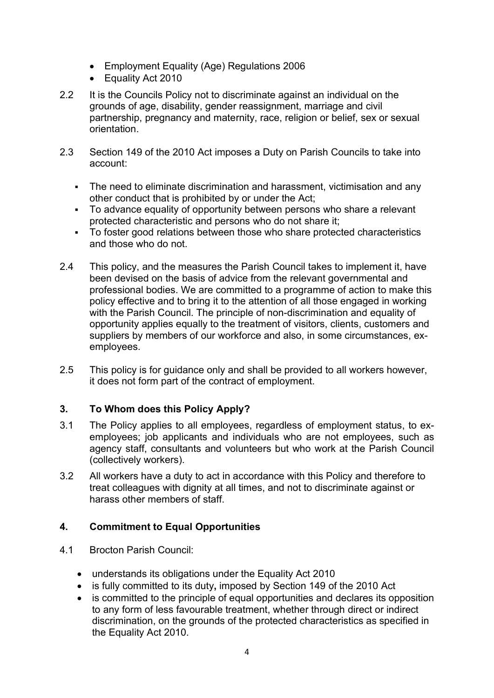- Employment Equality (Age) Regulations 2006
- Equality Act 2010
- 2.2 It is the Councils Policy not to discriminate against an individual on the grounds of age, disability, gender reassignment, marriage and civil partnership, pregnancy and maternity, race, religion or belief, sex or sexual orientation.
- 2.3 Section 149 of the 2010 Act imposes a Duty on Parish Councils to take into account:
	- The need to eliminate discrimination and harassment, victimisation and any other conduct that is prohibited by or under the Act;
	- To advance equality of opportunity between persons who share a relevant protected characteristic and persons who do not share it;
	- To foster good relations between those who share protected characteristics and those who do not.
- 2.4 This policy, and the measures the Parish Council takes to implement it, have been devised on the basis of advice from the relevant governmental and professional bodies. We are committed to a programme of action to make this policy effective and to bring it to the attention of all those engaged in working with the Parish Council. The principle of non-discrimination and equality of opportunity applies equally to the treatment of visitors, clients, customers and suppliers by members of our workforce and also, in some circumstances, exemployees.
- 2.5 This policy is for guidance only and shall be provided to all workers however, it does not form part of the contract of employment.

## 3. To Whom does this Policy Apply?

- 3.1 The Policy applies to all employees, regardless of employment status, to exemployees; job applicants and individuals who are not employees, such as agency staff, consultants and volunteers but who work at the Parish Council (collectively workers).
- 3.2 All workers have a duty to act in accordance with this Policy and therefore to treat colleagues with dignity at all times, and not to discriminate against or harass other members of staff.

## 4. Commitment to Equal Opportunities

- 4.1 Brocton Parish Council:
	- understands its obligations under the Equality Act 2010
	- is fully committed to its duty, imposed by Section 149 of the 2010 Act
	- is committed to the principle of equal opportunities and declares its opposition to any form of less favourable treatment, whether through direct or indirect discrimination, on the grounds of the protected characteristics as specified in the Equality Act 2010.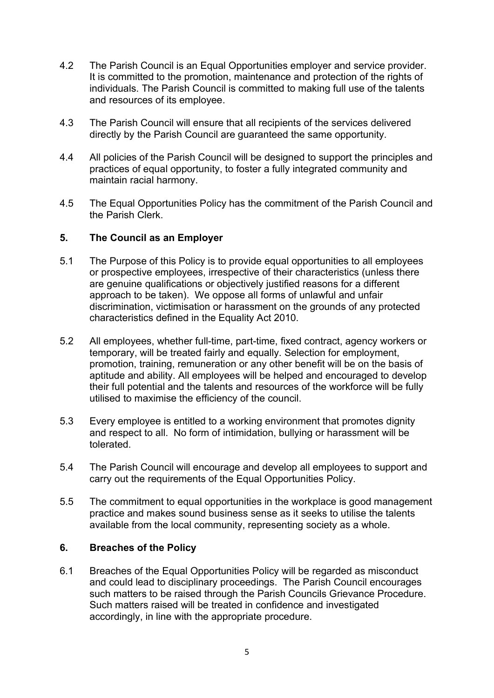- 4.2 The Parish Council is an Equal Opportunities employer and service provider. It is committed to the promotion, maintenance and protection of the rights of individuals. The Parish Council is committed to making full use of the talents and resources of its employee.
- 4.3 The Parish Council will ensure that all recipients of the services delivered directly by the Parish Council are guaranteed the same opportunity.
- 4.4 All policies of the Parish Council will be designed to support the principles and practices of equal opportunity, to foster a fully integrated community and maintain racial harmony.
- 4.5 The Equal Opportunities Policy has the commitment of the Parish Council and the Parish Clerk.

#### 5. The Council as an Employer

- 5.1 The Purpose of this Policy is to provide equal opportunities to all employees or prospective employees, irrespective of their characteristics (unless there are genuine qualifications or objectively justified reasons for a different approach to be taken). We oppose all forms of unlawful and unfair discrimination, victimisation or harassment on the grounds of any protected characteristics defined in the Equality Act 2010.
- 5.2 All employees, whether full-time, part-time, fixed contract, agency workers or temporary, will be treated fairly and equally. Selection for employment, promotion, training, remuneration or any other benefit will be on the basis of aptitude and ability. All employees will be helped and encouraged to develop their full potential and the talents and resources of the workforce will be fully utilised to maximise the efficiency of the council.
- 5.3 Every employee is entitled to a working environment that promotes dignity and respect to all. No form of intimidation, bullying or harassment will be tolerated.
- 5.4 The Parish Council will encourage and develop all employees to support and carry out the requirements of the Equal Opportunities Policy.
- 5.5 The commitment to equal opportunities in the workplace is good management practice and makes sound business sense as it seeks to utilise the talents available from the local community, representing society as a whole.

#### 6. Breaches of the Policy

6.1 Breaches of the Equal Opportunities Policy will be regarded as misconduct and could lead to disciplinary proceedings. The Parish Council encourages such matters to be raised through the Parish Councils Grievance Procedure. Such matters raised will be treated in confidence and investigated accordingly, in line with the appropriate procedure.